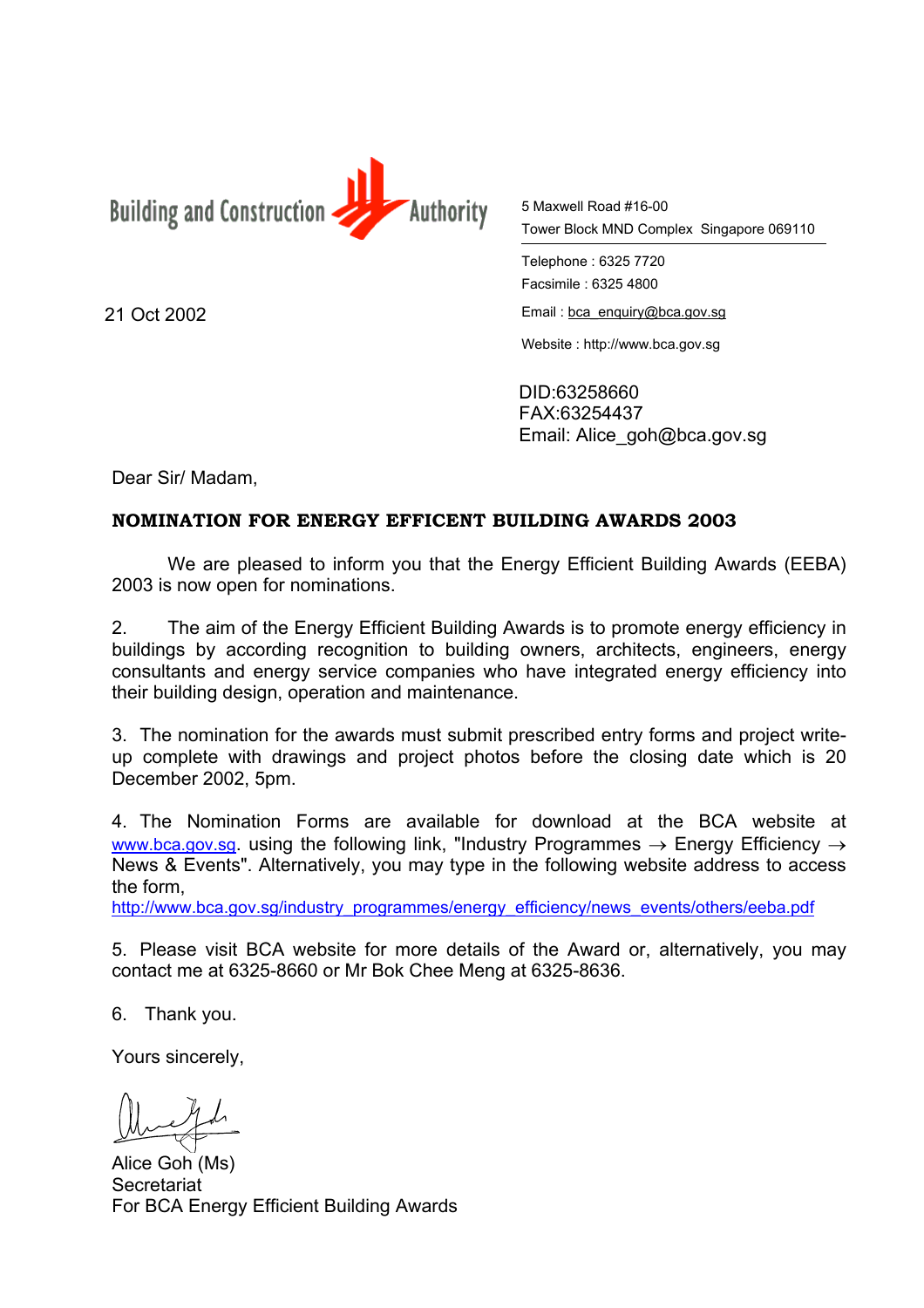

5 Maxwell Road #16-00 Tower Block MND Complex Singapore 069110

Telephone : 6325 7720 Facsimile : 6325 4800

21 Oct 2002 **Email**: [bca\\_enquiry@bca.gov.sg](mailto:bca_enquiry@bca.gov.sg)

Website : http://www.bca.gov.sg

DID:63258660 FAX:63254437 Email: Alice\_goh@bca.gov.sg

Dear Sir/ Madam,

## **NOMINATION FOR ENERGY EFFICENT BUILDING AWARDS 2003**

We are pleased to inform you that the Energy Efficient Building Awards (EEBA) 2003 is now open for nominations.

2. The aim of the Energy Efficient Building Awards is to promote energy efficiency in buildings by according recognition to building owners, architects, engineers, energy consultants and energy service companies who have integrated energy efficiency into their building design, operation and maintenance.

3. The nomination for the awards must submit prescribed entry forms and project writeup complete with drawings and project photos before the closing date which is 20 December 2002, 5pm.

4. The Nomination Forms are available for download at the BCA website at [www.bca.gov.sg.](http://www.bca.gov.sg/) using the following link. "Industry Programmes  $\rightarrow$  Energy Efficiency  $\rightarrow$ News & Events". Alternatively, you may type in the following website address to access the form,

[http://www.bca.gov.sg/industry\\_programmes/energy\\_efficiency/news\\_events/others/eeba.pdf](http://www.bca.gov.sg/industry_programmes/awards/best_design_awards/about_award/awards.html)

5. Please visit BCA website for more details of the Award or, alternatively, you may contact me at 6325-8660 or Mr Bok Chee Meng at 6325-8636.

6. Thank you.

Yours sincerely,

Alice Goh (Ms) **Secretariat** For BCA Energy Efficient Building Awards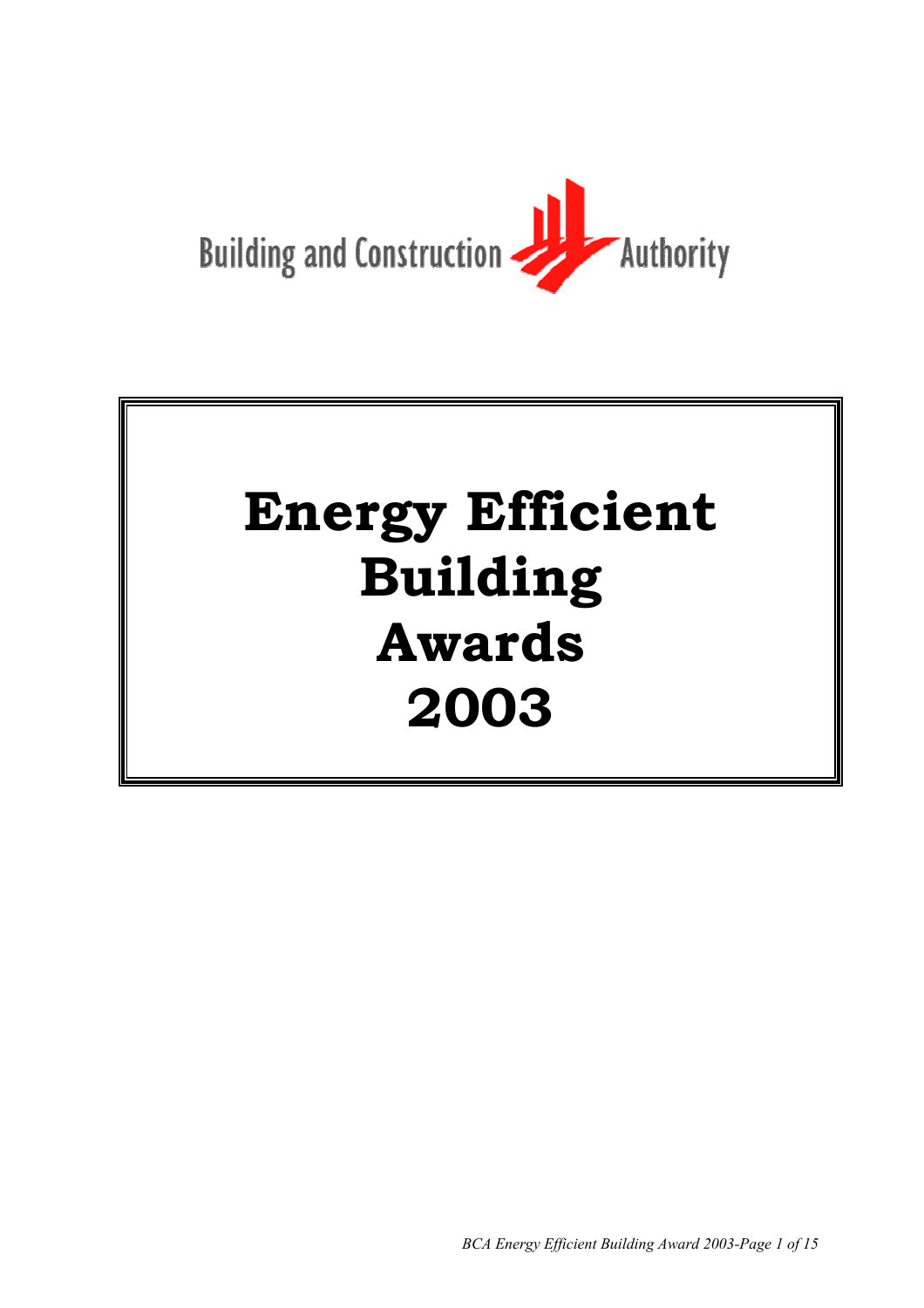

# **Energy Efficient Building Awards 2003**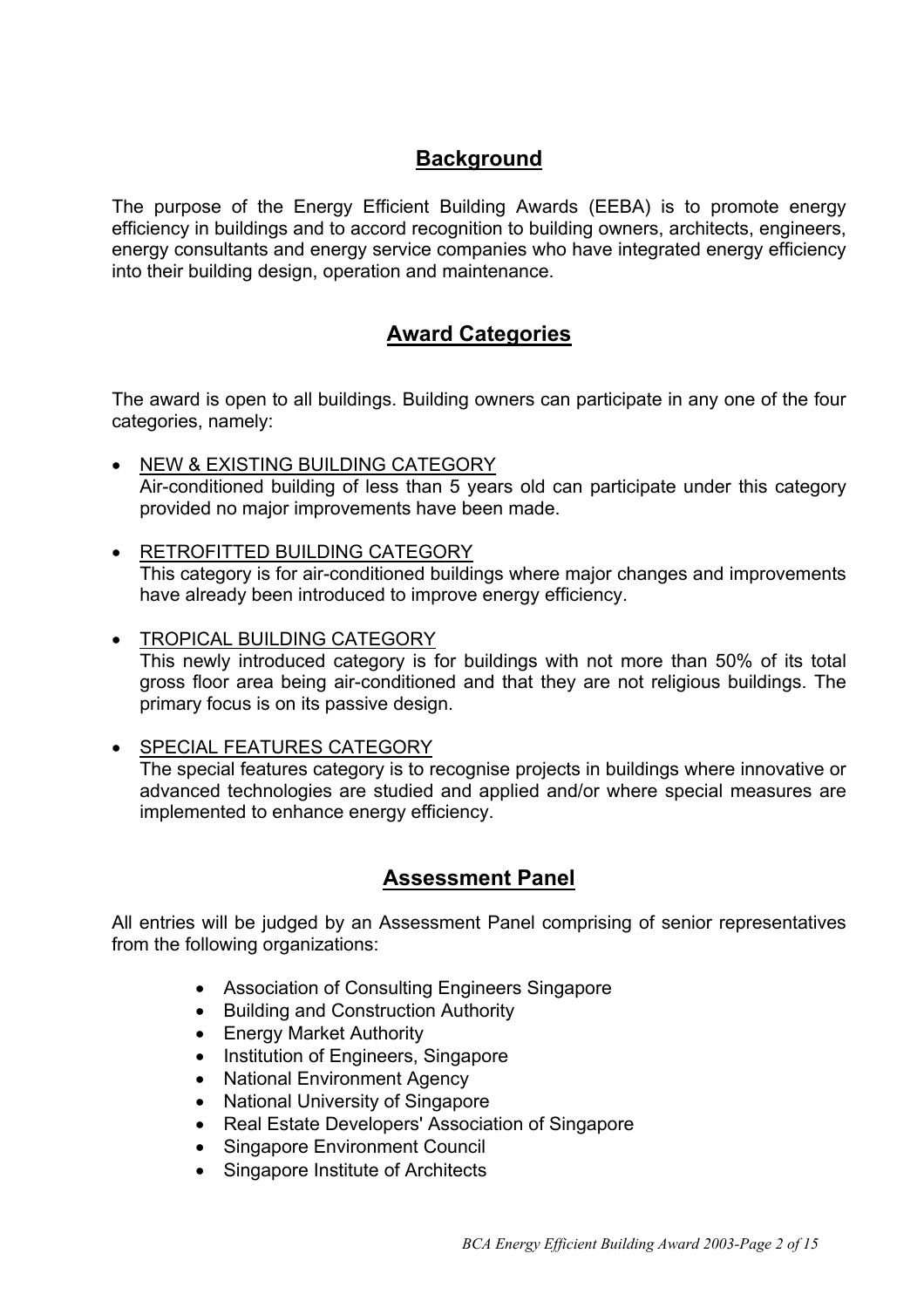## **Background**

The purpose of the Energy Efficient Building Awards (EEBA) is to promote energy efficiency in buildings and to accord recognition to building owners, architects, engineers, energy consultants and energy service companies who have integrated energy efficiency into their building design, operation and maintenance.

## **Award Categories**

The award is open to all buildings. Building owners can participate in any one of the four categories, namely:

- NEW & EXISTING BUILDING CATEGORY Air-conditioned building of less than 5 years old can participate under this category provided no major improvements have been made.
- RETROFITTED BUILDING CATEGORY This category is for air-conditioned buildings where major changes and improvements have already been introduced to improve energy efficiency.
- TROPICAL BUILDING CATEGORY This newly introduced category is for buildings with not more than 50% of its total gross floor area being air-conditioned and that they are not religious buildings. The primary focus is on its passive design.
- SPECIAL FEATURES CATEGORY The special features category is to recognise projects in buildings where innovative or advanced technologies are studied and applied and/or where special measures are implemented to enhance energy efficiency.

## **Assessment Panel**

All entries will be judged by an Assessment Panel comprising of senior representatives from the following organizations:

- Association of Consulting Engineers Singapore
- Building and Construction Authority
- Energy Market Authority
- Institution of Engineers, Singapore
- National Environment Agency
- National University of Singapore
- Real Estate Developers' Association of Singapore
- Singapore Environment Council
- Singapore Institute of Architects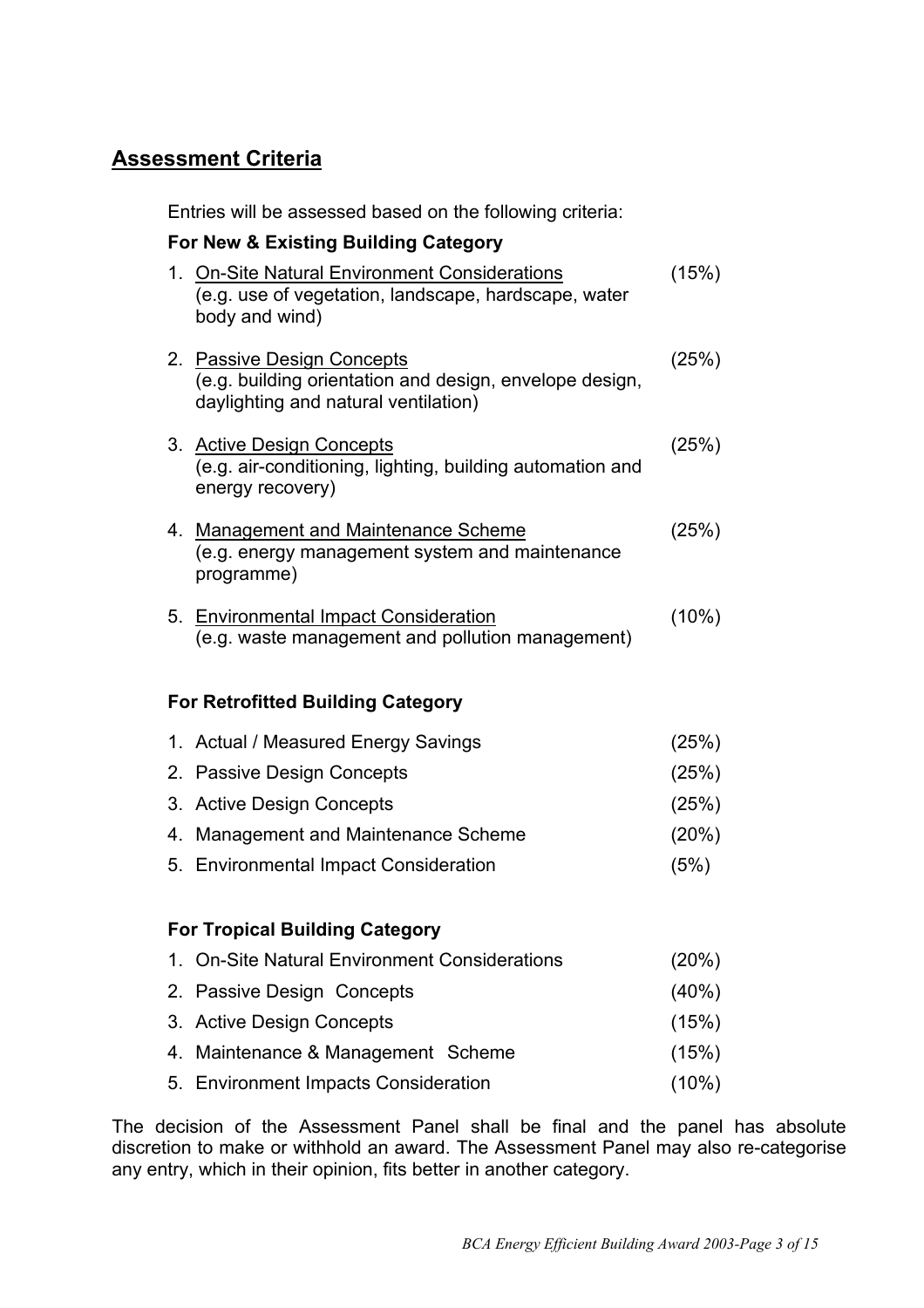## **Assessment Criteria**

Entries will be assessed based on the following criteria:

## **For New & Existing Building Category** 1. On-Site Natural Environment Considerations (15%) (e.g. use of vegetation, landscape, hardscape, water body and wind) 2. Passive Design Concepts (25%) (e.g. building orientation and design, envelope design, daylighting and natural ventilation) 3. Active Design Concepts (25%) (e.g. air-conditioning, lighting, building automation and energy recovery) 4. Management and Maintenance Scheme (25%) (e.g. energy management system and maintenance programme) 5. Environmental Impact Consideration (10%) (e.g. waste management and pollution management) **For Retrofitted Building Category** 1. Actual / Measured Energy Savings (25%) 2. Passive Design Concepts (25%) 3. Active Design Concepts (25%) 4. Management and Maintenance Scheme (20%) 5. Environmental Impact Consideration (5%) **For Tropical Building Category** 1. On-Site Natural Environment Considerations (20%) 2. Passive Design Concepts (40%) 3. Active Design Concepts (15%) 4. Maintenance & Management Scheme (15%)

The decision of the Assessment Panel shall be final and the panel has absolute discretion to make or withhold an award. The Assessment Panel may also re-categorise any entry, which in their opinion, fits better in another category.

5. Environment Impacts Consideration (10%)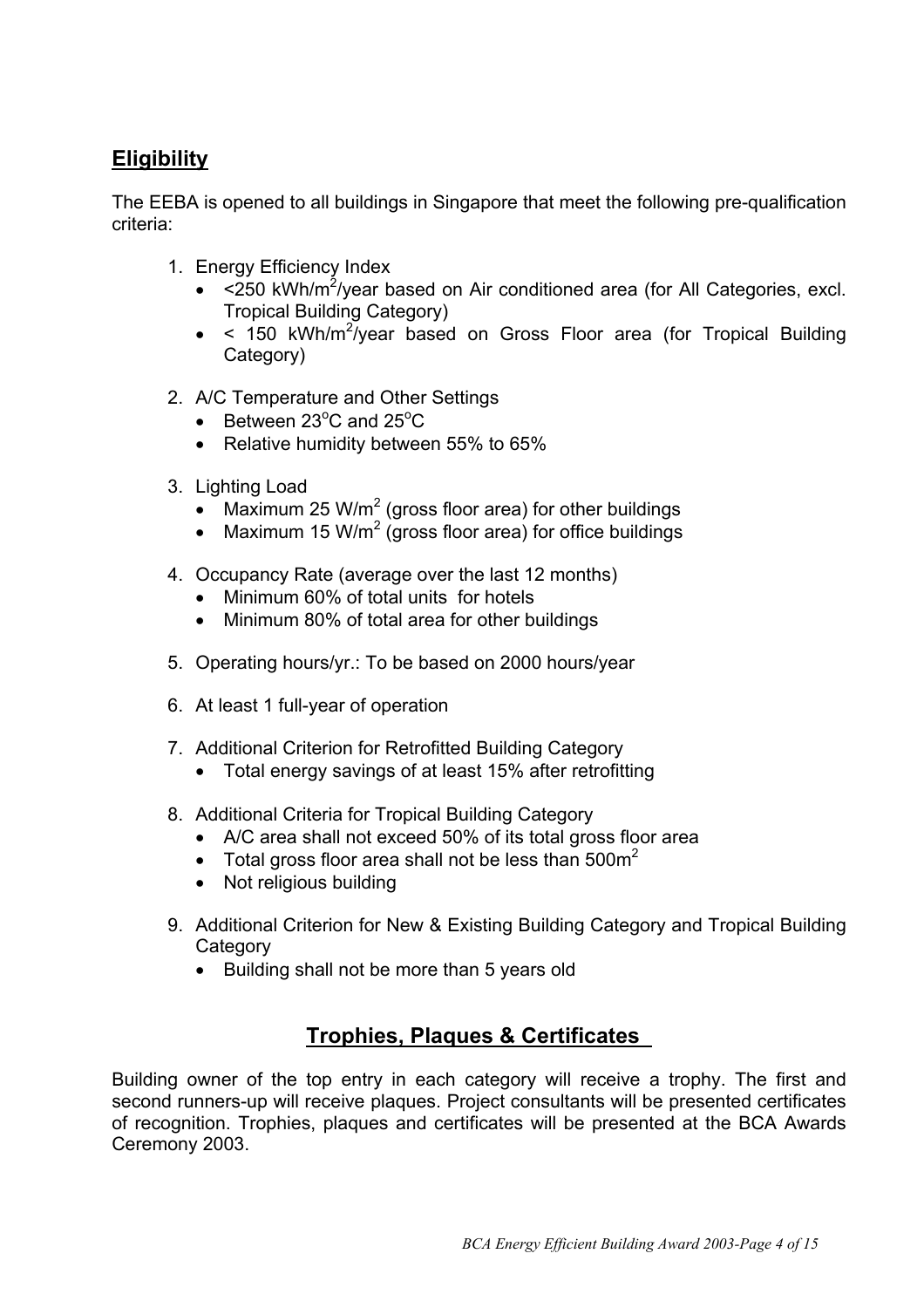## **Eligibility**

The EEBA is opened to all buildings in Singapore that meet the following pre-qualification criteria:

- 1. Energy Efficiency Index
	- $\bullet$  <250 kWh/m<sup>2</sup>/year based on Air conditioned area (for All Categories, excl. Tropical Building Category)
	- $\bullet$  < 150 kWh/m<sup>2</sup>/year based on Gross Floor area (for Tropical Building Category)
- 2. A/C Temperature and Other Settings
	- $\bullet$  Between 23<sup>o</sup>C and 25<sup>o</sup>C
	- Relative humidity between 55% to 65%
- 3. Lighting Load
	- Maximum 25 W/m<sup>2</sup> (gross floor area) for other buildings
	- Maximum 15 W/m<sup>2</sup> (gross floor area) for office buildings
- 4. Occupancy Rate (average over the last 12 months)
	- Minimum 60% of total units for hotels
	- Minimum 80% of total area for other buildings
- 5. Operating hours/yr.: To be based on 2000 hours/year
- 6. At least 1 full-year of operation
- 7. Additional Criterion for Retrofitted Building Category
	- Total energy savings of at least 15% after retrofitting
- 8. Additional Criteria for Tropical Building Category
	- A/C area shall not exceed 50% of its total gross floor area
	- Total gross floor area shall not be less than  $500<sup>2</sup>$
	- Not religious building
- 9. Additional Criterion for New & Existing Building Category and Tropical Building **Category** 
	- Building shall not be more than 5 years old

## **Trophies, Plaques & Certificates**

Building owner of the top entry in each category will receive a trophy. The first and second runners-up will receive plaques. Project consultants will be presented certificates of recognition. Trophies, plaques and certificates will be presented at the BCA Awards Ceremony 2003.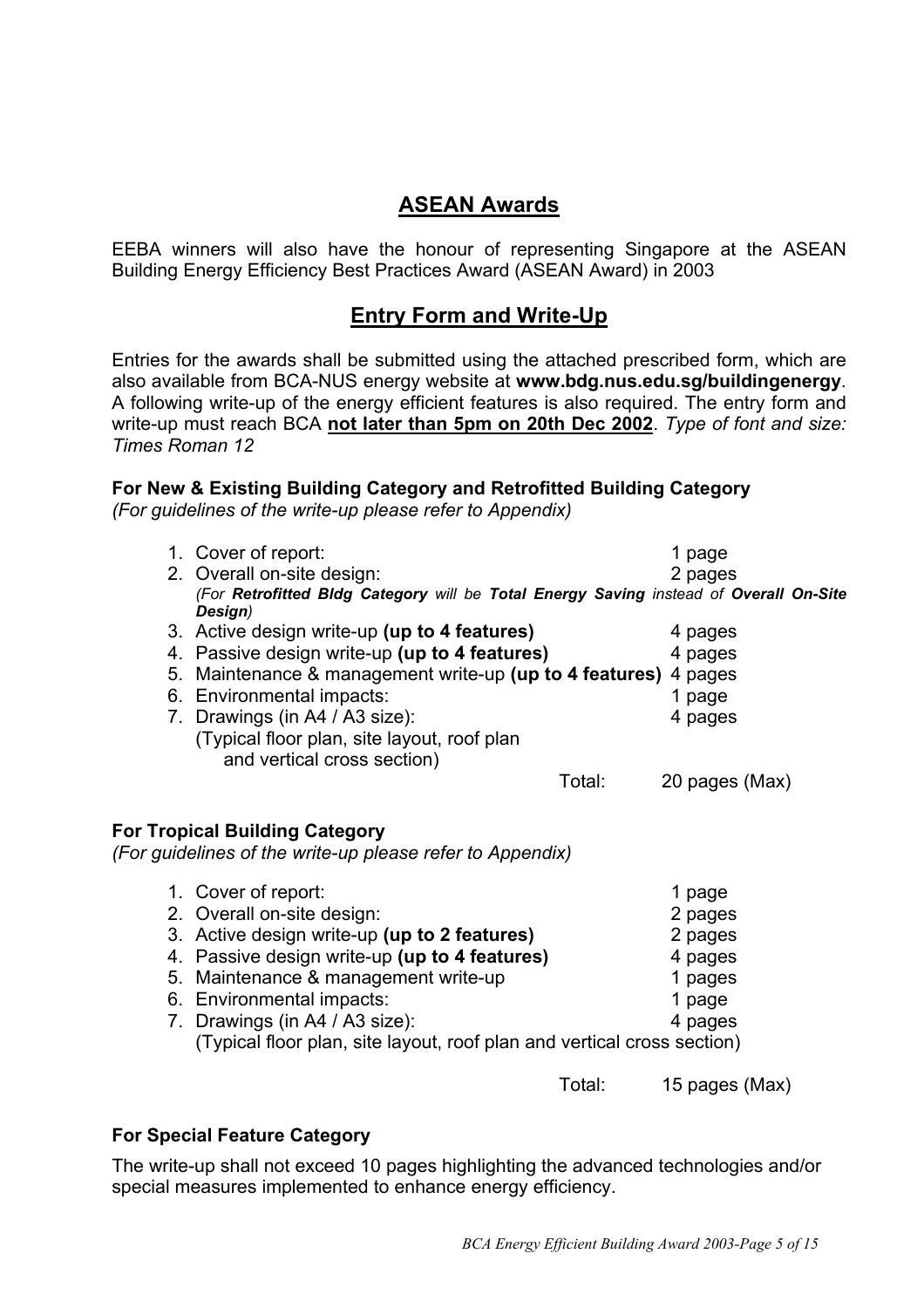## **ASEAN Awards**

EEBA winners will also have the honour of representing Singapore at the ASEAN Building Energy Efficiency Best Practices Award (ASEAN Award) in 2003

## **Entry Form and Write-Up**

Entries for the awards shall be submitted using the attached prescribed form, which are also available from BCA-NUS energy website at **www.bdg.nus.edu.sg/buildingenergy**. A following write-up of the energy efficient features is also required. The entry form and write-up must reach BCA **not later than 5pm on 20th Dec 2002**. *Type of font and size: Times Roman 12*

#### **For New & Existing Building Category and Retrofitted Building Category**

*(For guidelines of the write-up please refer to Appendix)*

| 1. Cover of report:<br>2. Overall on-site design:<br>(For Retrofitted Bldg Category will be Total Energy Saving instead of Overall On-Site<br>Design)                                                                                                                                                                                |        | 1 page<br>2 pages                                                       |
|--------------------------------------------------------------------------------------------------------------------------------------------------------------------------------------------------------------------------------------------------------------------------------------------------------------------------------------|--------|-------------------------------------------------------------------------|
| 3. Active design write-up (up to 4 features)<br>4. Passive design write-up (up to 4 features)<br>5. Maintenance & management write-up (up to 4 features)<br>6. Environmental impacts:<br>7. Drawings (in A4 / A3 size):<br>(Typical floor plan, site layout, roof plan<br>and vertical cross section)                                |        | 4 pages<br>4 pages<br>4 pages<br>1 page<br>4 pages                      |
|                                                                                                                                                                                                                                                                                                                                      | Total: | 20 pages (Max)                                                          |
| <b>For Tropical Building Category</b><br>(For guidelines of the write-up please refer to Appendix)                                                                                                                                                                                                                                   |        |                                                                         |
| 1. Cover of report:<br>2. Overall on-site design:<br>3. Active design write-up (up to 2 features)<br>4. Passive design write-up (up to 4 features)<br>5. Maintenance & management write-up<br>6. Environmental impacts:<br>7. Drawings (in A4 / A3 size):<br>(Typical floor plan, site layout, roof plan and vertical cross section) |        | 1 page<br>2 pages<br>2 pages<br>4 pages<br>1 pages<br>1 page<br>4 pages |
|                                                                                                                                                                                                                                                                                                                                      | Total: | 15 pages (Max)                                                          |

#### **For Special Feature Category**

The write-up shall not exceed 10 pages highlighting the advanced technologies and/or special measures implemented to enhance energy efficiency.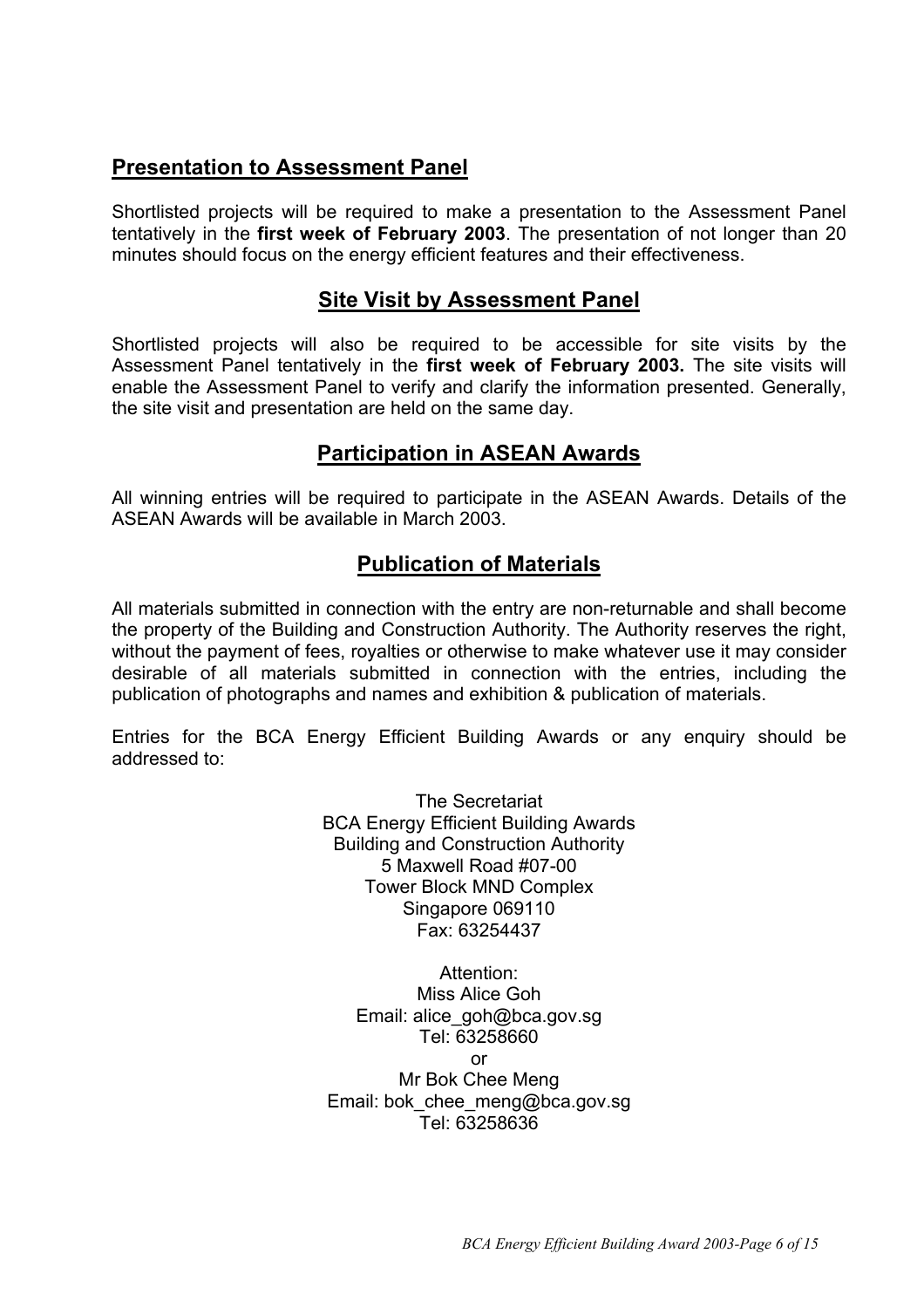## **Presentation to Assessment Panel**

Shortlisted projects will be required to make a presentation to the Assessment Panel tentatively in the **first week of February 2003**. The presentation of not longer than 20 minutes should focus on the energy efficient features and their effectiveness.

## **Site Visit by Assessment Panel**

Shortlisted projects will also be required to be accessible for site visits by the Assessment Panel tentatively in the **first week of February 2003.** The site visits will enable the Assessment Panel to verify and clarify the information presented. Generally, the site visit and presentation are held on the same day.

## **Participation in ASEAN Awards**

All winning entries will be required to participate in the ASEAN Awards. Details of the ASEAN Awards will be available in March 2003.

## **Publication of Materials**

All materials submitted in connection with the entry are non-returnable and shall become the property of the Building and Construction Authority. The Authority reserves the right, without the payment of fees, royalties or otherwise to make whatever use it may consider desirable of all materials submitted in connection with the entries, including the publication of photographs and names and exhibition & publication of materials.

Entries for the BCA Energy Efficient Building Awards or any enquiry should be addressed to:

> The Secretariat BCA Energy Efficient Building Awards Building and Construction Authority 5 Maxwell Road #07-00 Tower Block MND Complex Singapore 069110 Fax: 63254437

Attention: Miss Alice Goh Email: alice\_goh@bca.gov.sg Tel: 63258660 or Mr Bok Chee Meng Email: bok\_chee\_meng@bca.gov.sg Tel: 63258636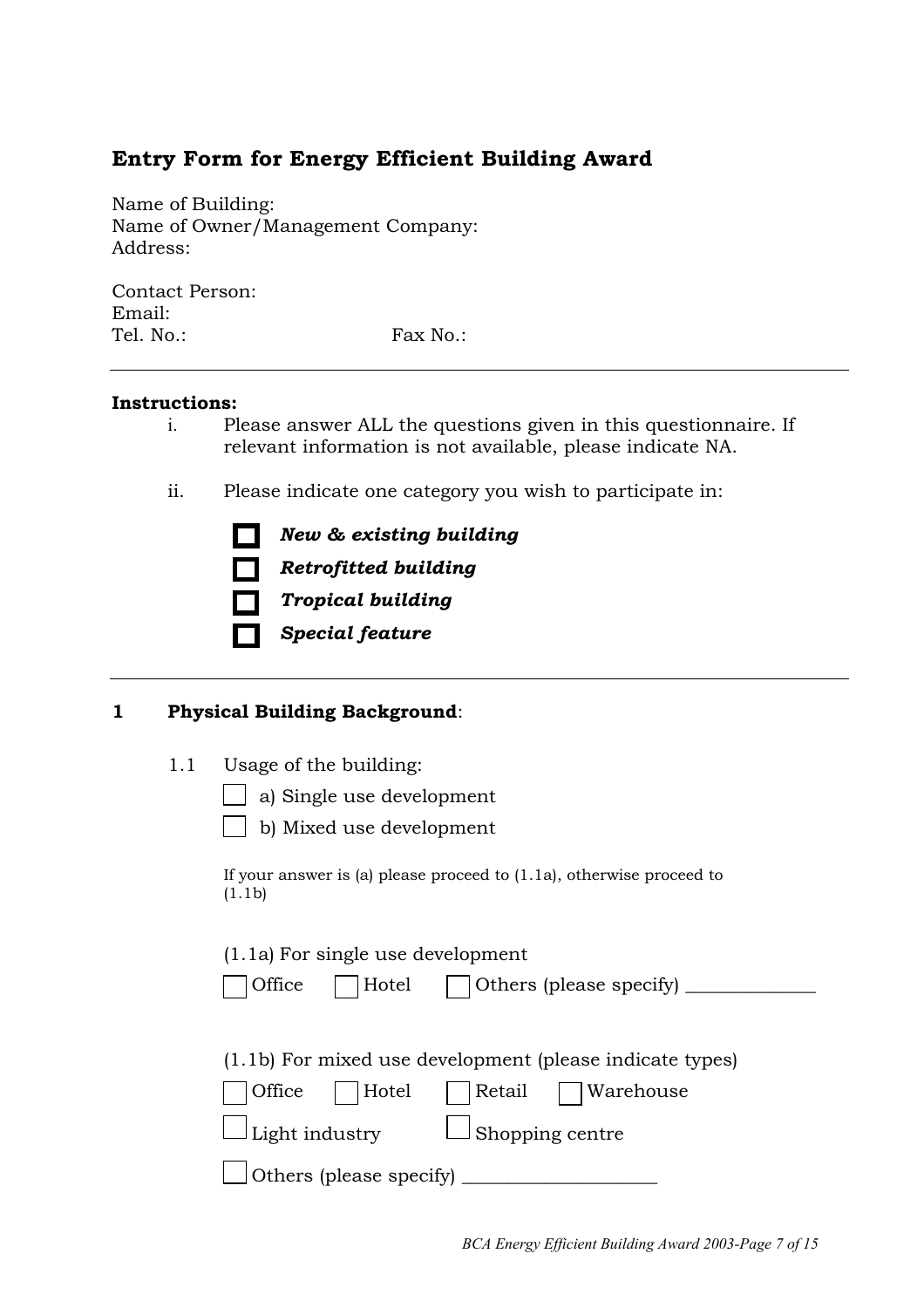## **Entry Form for Energy Efficient Building Award**

Name of Building: Name of Owner/Management Company: Address:

Contact Person: Email: Tel. No.: Fax No.:

#### **Instructions:**

- i. Please answer ALL the questions given in this questionnaire. If relevant information is not available, please indicate NA.
- ii. Please indicate one category you wish to participate in:

| . .    | New & existing building     |
|--------|-----------------------------|
| $\Box$ | <b>Retrofitted building</b> |
| $\Box$ | <b>Tropical building</b>    |
| $\Box$ | <b>Special feature</b>      |

#### **1 Physical Building Background**:

1.1 Usage of the building:

a) Single use development

| M.<br>۰. |
|----------|

b) Mixed use development

If your answer is (a) please proceed to (1.1a), otherwise proceed to (1.1b)

(1.1a) For single use development

|  | Office | Hotel | Others (please specify) |
|--|--------|-------|-------------------------|
|--|--------|-------|-------------------------|

(1.1b) For mixed use development (please indicate types)

|  | Office | Hotel | Retail | Warehouse |
|--|--------|-------|--------|-----------|
|--|--------|-------|--------|-----------|

| Light industry | $\Box$ Shopping centre |  |
|----------------|------------------------|--|
|                |                        |  |

 $\Box$  Others (please specify)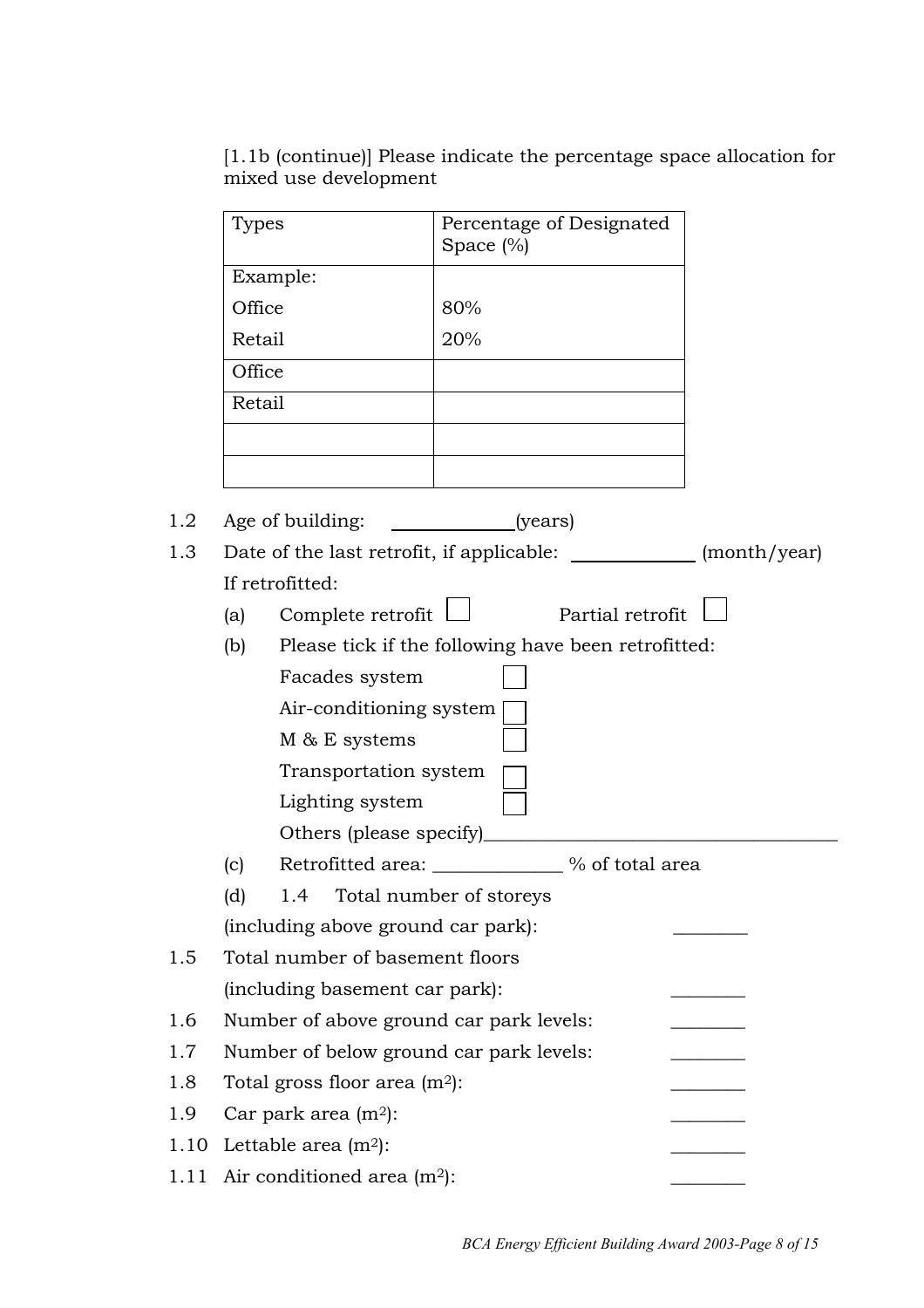[1.1b (continue)] Please indicate the percentage space allocation for mixed use development

|      | Types                          | Percentage of Designated<br>Space $(\%)$                                |  |  |  |  |
|------|--------------------------------|-------------------------------------------------------------------------|--|--|--|--|
|      |                                | Example:                                                                |  |  |  |  |
|      | Office                         | 80%                                                                     |  |  |  |  |
|      | Retail                         | 20%                                                                     |  |  |  |  |
|      | Office                         |                                                                         |  |  |  |  |
|      | Retail                         |                                                                         |  |  |  |  |
|      |                                |                                                                         |  |  |  |  |
|      |                                |                                                                         |  |  |  |  |
| 1.2  |                                | Age of building:<br>(years)                                             |  |  |  |  |
| 1.3  |                                | Date of the last retrofit, if applicable: _____________<br>(month/year) |  |  |  |  |
|      |                                | If retrofitted:                                                         |  |  |  |  |
|      | (a)                            | Partial retrofit<br>Complete retrofit                                   |  |  |  |  |
|      | (b)                            | Please tick if the following have been retrofitted:                     |  |  |  |  |
|      |                                | Facades system                                                          |  |  |  |  |
|      | Air-conditioning system        |                                                                         |  |  |  |  |
|      | M & E systems                  |                                                                         |  |  |  |  |
|      |                                | Transportation system                                                   |  |  |  |  |
|      |                                | Lighting system                                                         |  |  |  |  |
|      |                                | Others (please specify)                                                 |  |  |  |  |
|      | (c)                            | Retrofitted area: ___________ % of total area                           |  |  |  |  |
|      | (d)                            | 1.4 Total number of storeys                                             |  |  |  |  |
|      |                                | (including above ground car park):                                      |  |  |  |  |
| 1.5  |                                | Total number of basement floors                                         |  |  |  |  |
|      |                                | (including basement car park):                                          |  |  |  |  |
| 1.6  |                                | Number of above ground car park levels:                                 |  |  |  |  |
| 1.7  |                                | Number of below ground car park levels:                                 |  |  |  |  |
| 1.8  |                                | Total gross floor area $(m^2)$ :                                        |  |  |  |  |
| 1.9  |                                | Car park area $(m^2)$ :                                                 |  |  |  |  |
| 1.10 | Lettable area $(m^2)$ :        |                                                                         |  |  |  |  |
| 1.11 | Air conditioned area $(m^2)$ : |                                                                         |  |  |  |  |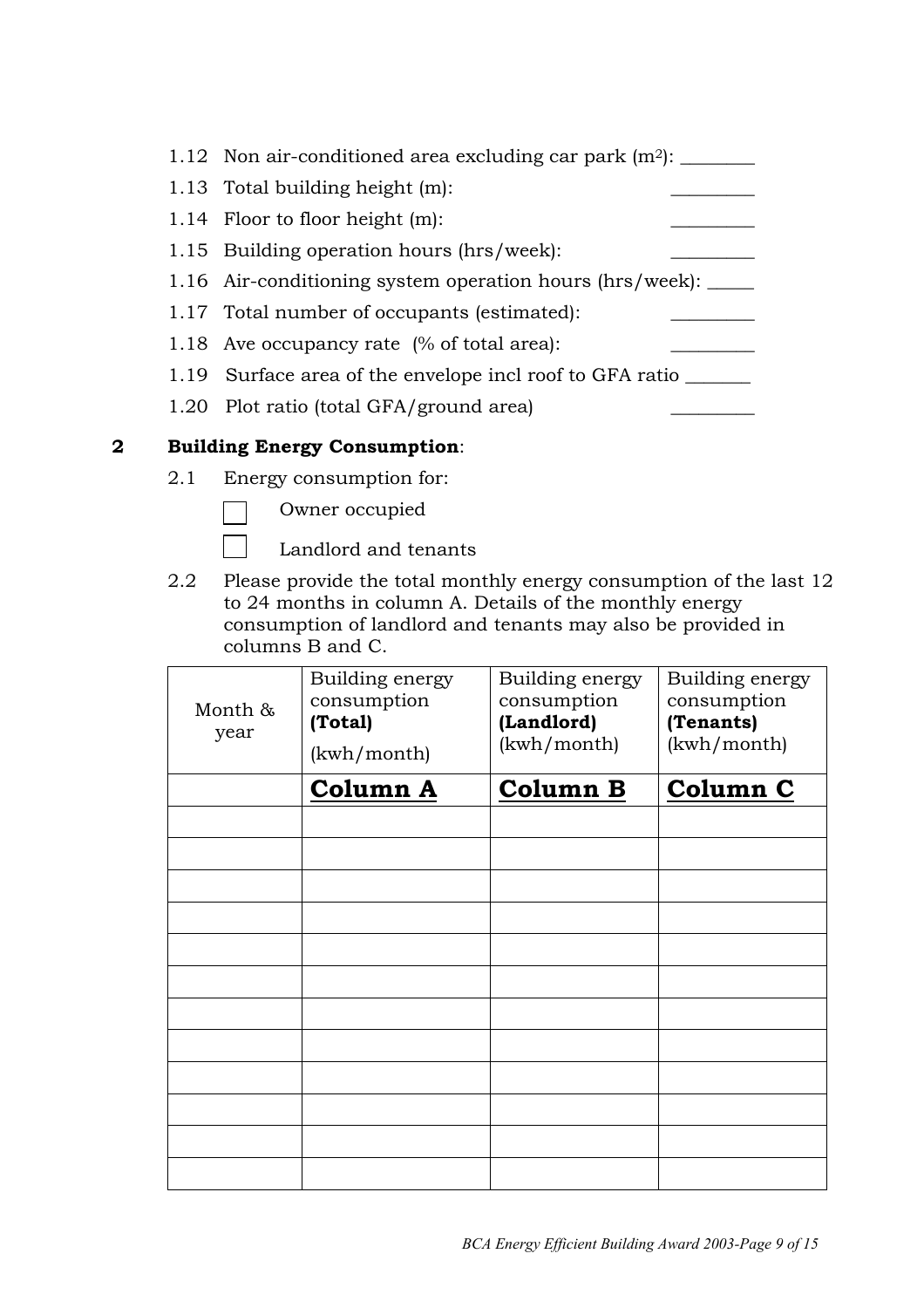| 1.12 Non air-conditioned area excluding car park $(m^2)$ :     |
|----------------------------------------------------------------|
| 1.13 Total building height (m):                                |
| 1.14 Floor to floor height $(m)$ :                             |
| 1.15 Building operation hours (hrs/week):                      |
| 1.16 Air-conditioning system operation hours (hrs/week): _____ |
| 1.17 Total number of occupants (estimated):                    |
| 1.18 Ave occupancy rate (% of total area):                     |
| 1.19 Surface area of the envelope incl roof to GFA ratio       |
| 1.20 Plot ratio (total GFA/ground area)                        |

#### **2 Building Energy Consumption**:

2.1 Energy consumption for:



Owner occupied

Landlord and tenants

2.2 Please provide the total monthly energy consumption of the last 12 to 24 months in column A. Details of the monthly energy consumption of landlord and tenants may also be provided in columns B and C.

| Month &<br>year | Building energy<br>consumption<br>(Total)<br>(kwh/month) | Building energy<br>consumption<br>(Landlord)<br>(kwh/month) | Building energy<br>consumption<br>(Tenants)<br>(kwh/month) |
|-----------------|----------------------------------------------------------|-------------------------------------------------------------|------------------------------------------------------------|
|                 | <b>Column A</b>                                          | <b>Column B</b>                                             | Column C                                                   |
|                 |                                                          |                                                             |                                                            |
|                 |                                                          |                                                             |                                                            |
|                 |                                                          |                                                             |                                                            |
|                 |                                                          |                                                             |                                                            |
|                 |                                                          |                                                             |                                                            |
|                 |                                                          |                                                             |                                                            |
|                 |                                                          |                                                             |                                                            |
|                 |                                                          |                                                             |                                                            |
|                 |                                                          |                                                             |                                                            |
|                 |                                                          |                                                             |                                                            |
|                 |                                                          |                                                             |                                                            |
|                 |                                                          |                                                             |                                                            |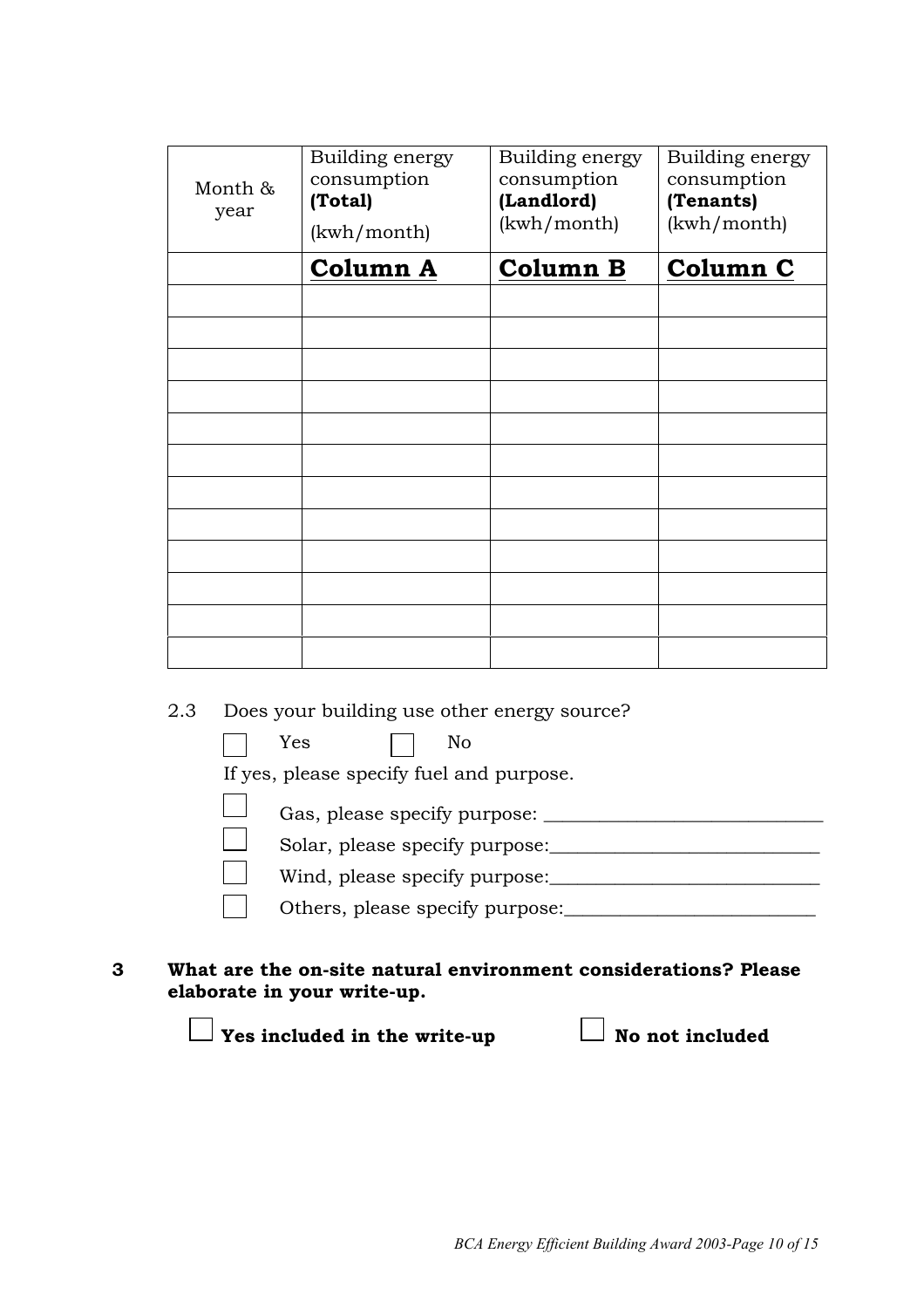| Month &<br>year | Building energy<br>consumption<br>(Total)<br>(kwh/month) | Building energy<br>consumption<br>(Landlord)<br>(kwh/month) | Building energy<br>consumption<br>(Tenants)<br>(kwh/month) |
|-----------------|----------------------------------------------------------|-------------------------------------------------------------|------------------------------------------------------------|
|                 | <b>Column A</b>                                          | <b>Column B</b>                                             | Column C                                                   |
|                 |                                                          |                                                             |                                                            |
|                 |                                                          |                                                             |                                                            |
|                 |                                                          |                                                             |                                                            |
|                 |                                                          |                                                             |                                                            |
|                 |                                                          |                                                             |                                                            |
|                 |                                                          |                                                             |                                                            |
|                 |                                                          |                                                             |                                                            |
|                 |                                                          |                                                             |                                                            |
|                 |                                                          |                                                             |                                                            |
|                 |                                                          |                                                             |                                                            |
|                 |                                                          |                                                             |                                                            |
|                 |                                                          |                                                             |                                                            |

2.3 Does your building use other energy source?

| Yes<br>No                                |
|------------------------------------------|
| If yes, please specify fuel and purpose. |
| Gas, please specify purpose:             |
| Solar, please specify purpose:           |
| Wind, please specify purpose:            |
| Others, please specify purpose:          |

**3 What are the on-site natural environment considerations? Please elaborate in your write-up.**

**The Vestincluded in the write-up Setup** No not included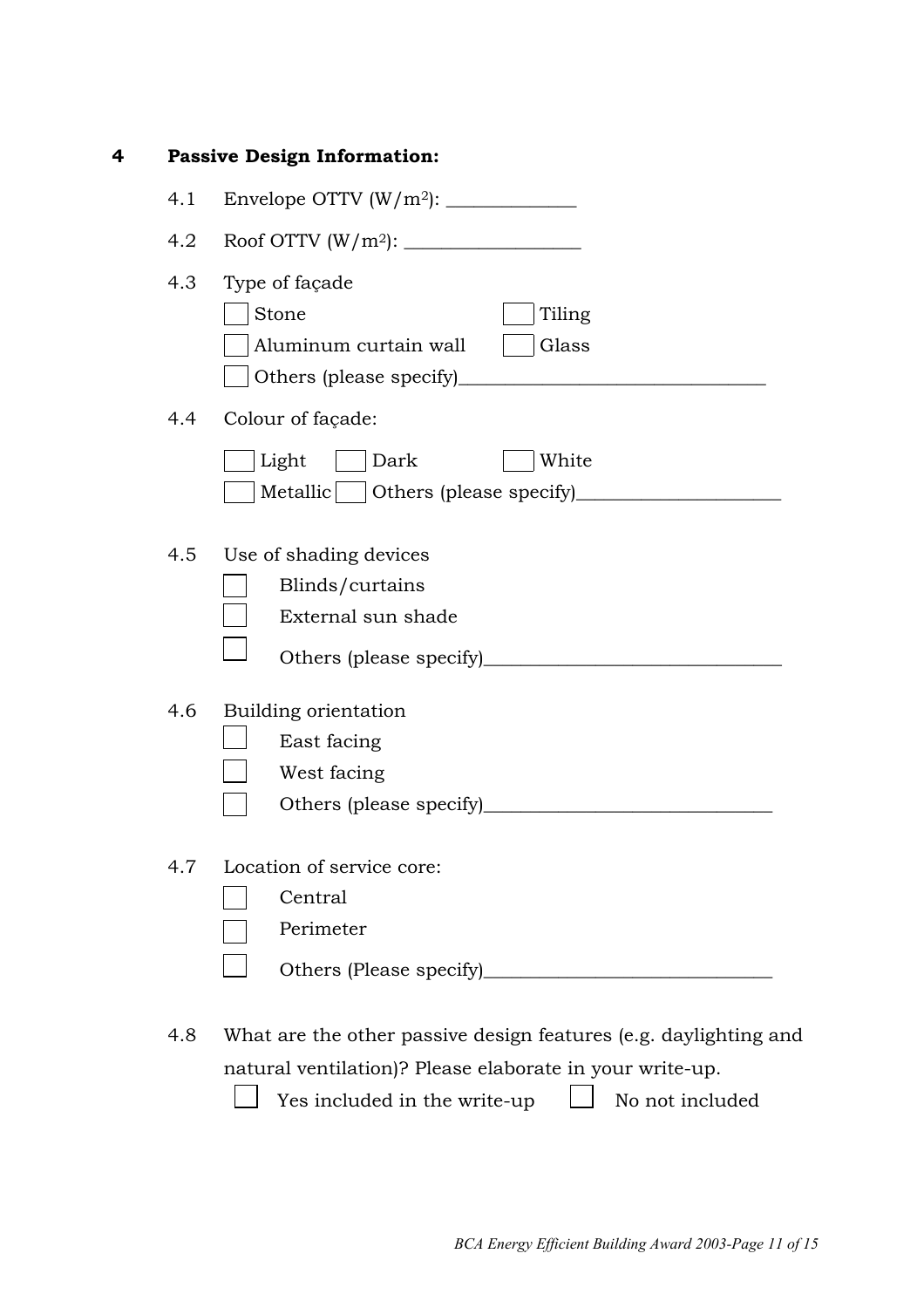| 4 |               | <b>Passive Design Information:</b>                                                                                                 |
|---|---------------|------------------------------------------------------------------------------------------------------------------------------------|
|   | 4.1           |                                                                                                                                    |
|   | $4.2^{\circ}$ |                                                                                                                                    |
|   | 4.3           | Type of façade<br>Stone<br>Tiling<br>Aluminum curtain wall<br>Glass                                                                |
|   | $4.4^{\circ}$ | Colour of façade:                                                                                                                  |
|   |               | Light<br>Dark<br>White<br>Metallic   Others (please specify)                                                                       |
|   | $4.5^{\circ}$ | Use of shading devices<br>Blinds/curtains<br>External sun shade                                                                    |
|   | 4.6           | Building orientation<br>East facing<br>West facing<br>Others (please specify)<br><u> 1980 - Johann Barbara, martxa alemaniar a</u> |
|   | 4.7           | Location of service core:<br>Central<br>Perimeter                                                                                  |
|   | 4.8           | What are the other passive design features (e.g. daylighting and<br>natural ventilation)? Please elaborate in your write-up.       |

 $\Box$  Yes included in the write-up  $\Box$  No not included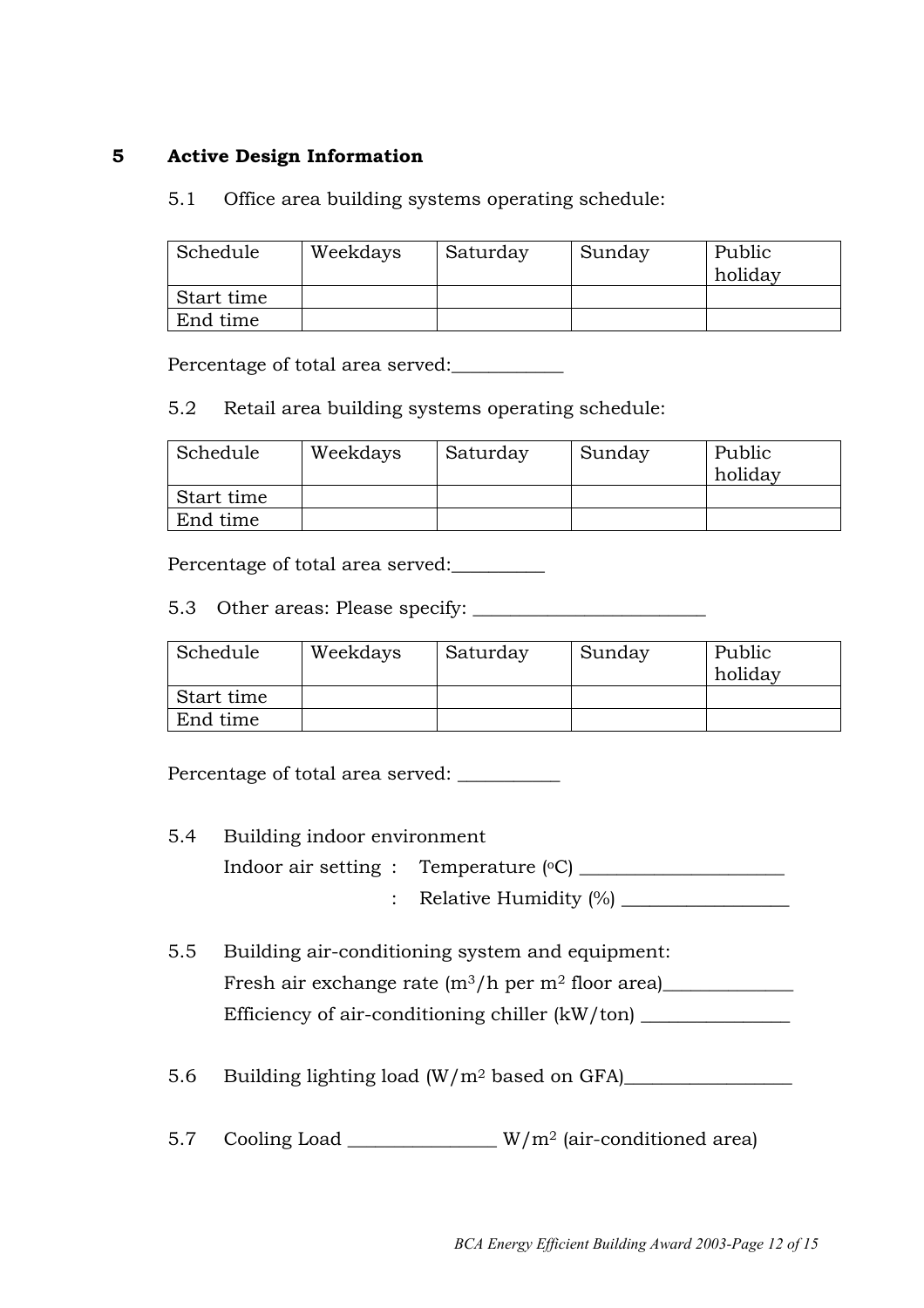#### **5 Active Design Information**

#### 5.1 Office area building systems operating schedule:

| Schedule   | Weekdays | Saturday | Sunday | Public<br>holiday |
|------------|----------|----------|--------|-------------------|
| Start time |          |          |        |                   |
| End time   |          |          |        |                   |

Percentage of total area served:\_\_\_\_\_\_\_\_\_\_\_\_

#### 5.2 Retail area building systems operating schedule:

| Schedule   | Weekdays | Saturday | Sunday | Public<br>holiday |
|------------|----------|----------|--------|-------------------|
| Start time |          |          |        |                   |
| End time   |          |          |        |                   |

Percentage of total area served:

5.3 Other areas: Please specify: \_\_\_\_\_\_\_\_\_\_\_\_\_\_\_\_\_\_\_\_\_\_\_\_\_

| Schedule   | Weekdays | Saturday | Sunday | Public<br>holiday |
|------------|----------|----------|--------|-------------------|
| Start time |          |          |        |                   |
| End time   |          |          |        |                   |

Percentage of total area served: \_\_\_\_\_\_\_\_\_\_

- 5.4 Building indoor environment Indoor air setting : Temperature (oC) \_\_\_\_\_\_\_\_\_\_\_\_\_\_\_\_\_\_\_\_\_\_ : Relative Humidity  $\frac{1}{2}$
- 5.5 Building air-conditioning system and equipment: Fresh air exchange rate  $(m^3/h$  per  $m^2$  floor area) Efficiency of air-conditioning chiller (kW/ton)

5.6 Building lighting load (W/m<sup>2</sup> based on GFA)

5.7 Cooling Load W/m<sup>2</sup> (air-conditioned area)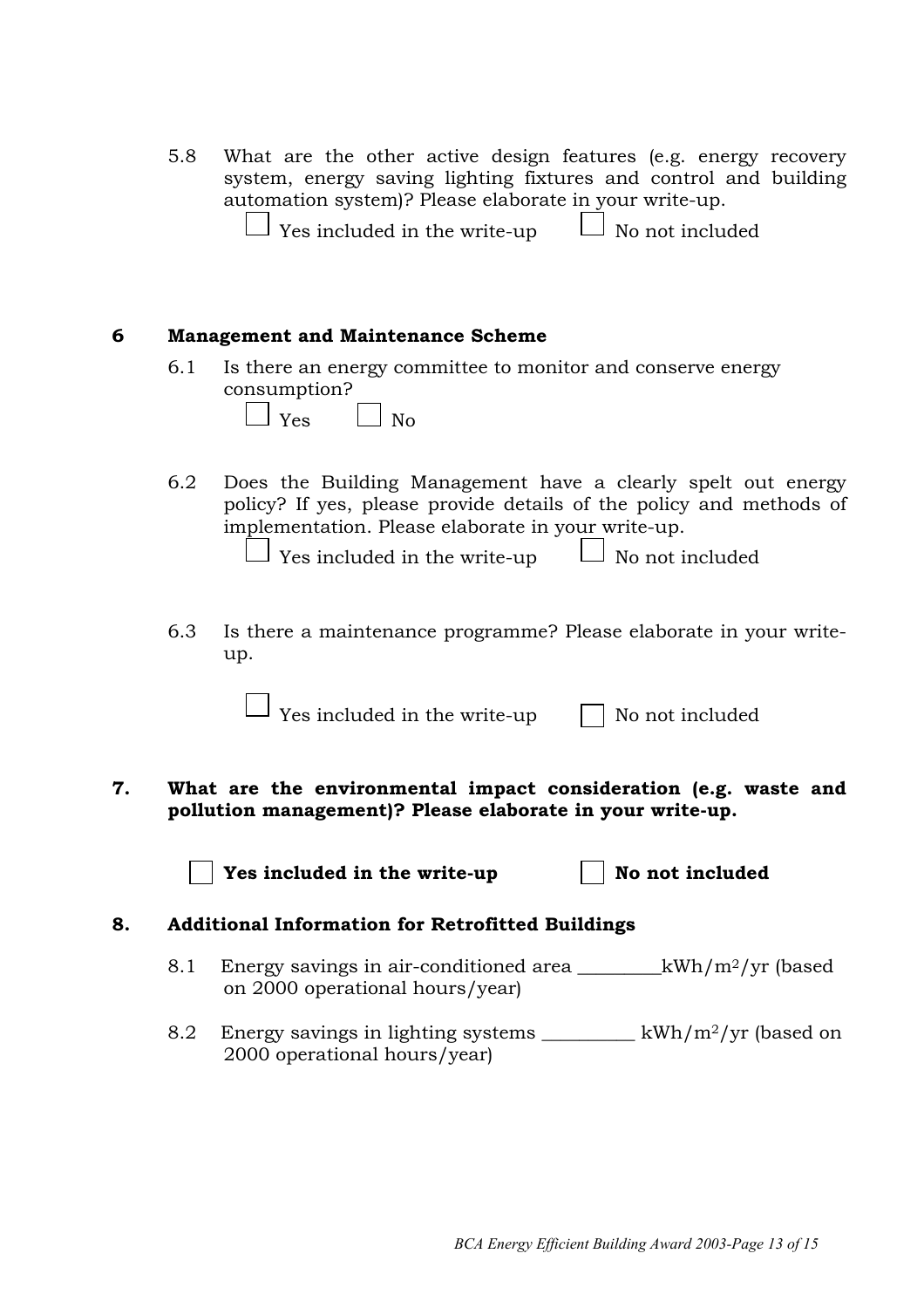5.8 What are the other active design features (e.g. energy recovery system, energy saving lighting fixtures and control and building automation system)? Please elaborate in your write-up.

|  | $\Box$ Yes included in the write-up |  | $\Box$ No not included |
|--|-------------------------------------|--|------------------------|
|--|-------------------------------------|--|------------------------|

#### **6 Management and Maintenance Scheme**

6.1 Is there an energy committee to monitor and conserve energy consumption?

| $\overline{\phantom{0}}$ |  |
|--------------------------|--|
|                          |  |

6.2 Does the Building Management have a clearly spelt out energy policy? If yes, please provide details of the policy and methods of implementation. Please elaborate in your write-up.

 $\Box$  Yes included in the write-up  $\Box$  No not included

6.3 Is there a maintenance programme? Please elaborate in your writeup.

 $\Box$  Yes included in the write-up  $\Box$  No not included

 $|N_{\Omega}$ 

**7. What are the environmental impact consideration (e.g. waste and pollution management)? Please elaborate in your write-up.**

**Yes included in the write-up**  $\vert$  **No not included** 

#### **8. Additional Information for Retrofitted Buildings**

- 8.1 Energy savings in air-conditioned area  $kWh/m^2/yr$  (based on 2000 operational hours/year)
- 8.2 Energy savings in lighting systems  $\frac{1}{2}$  kWh/m<sup>2</sup>/yr (based on 2000 operational hours/year)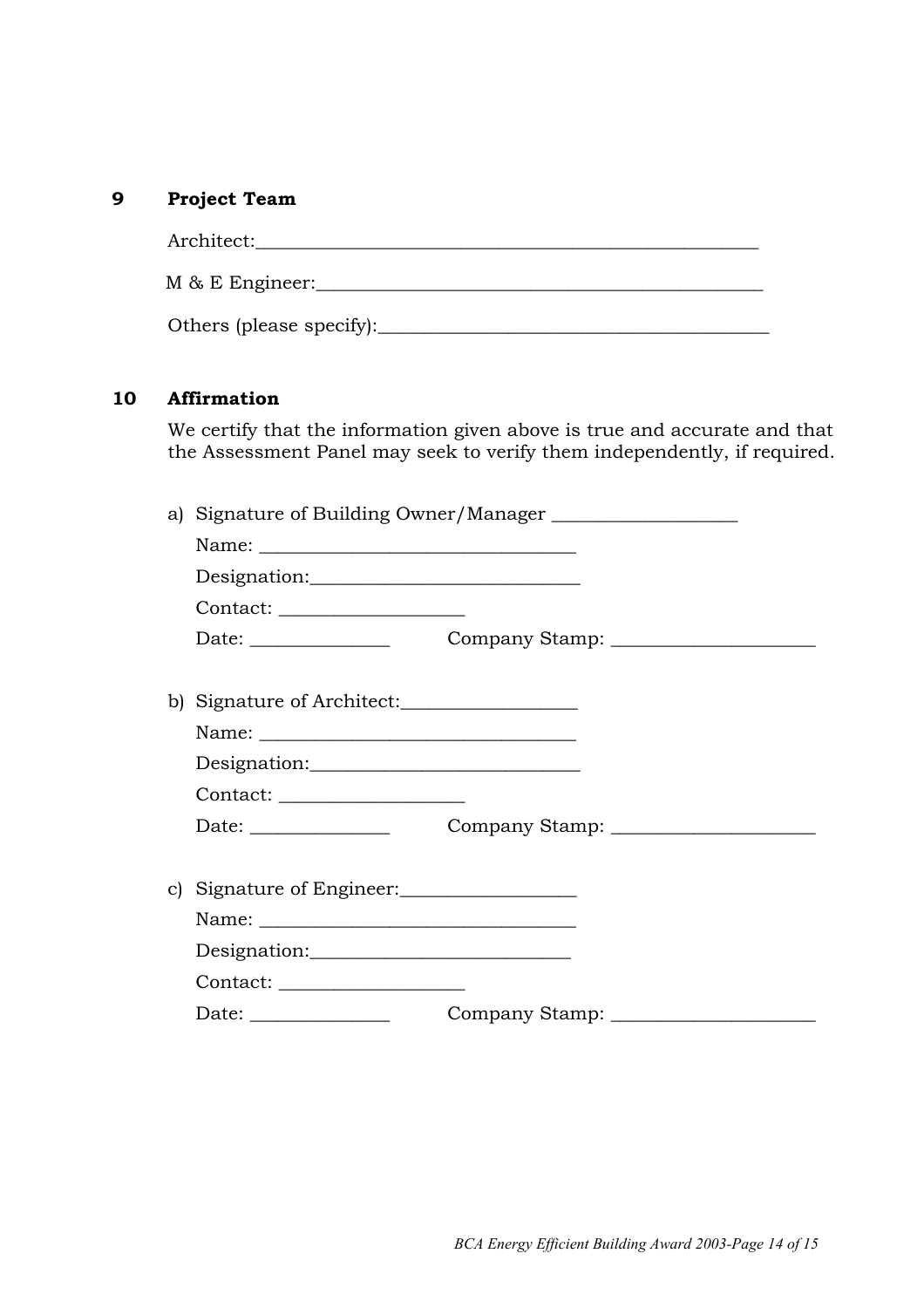#### **9 Project Team**

| Architect:               |
|--------------------------|
| M & E Engineer:          |
| Others (please specify): |

#### **10 Affirmation**

We certify that the information given above is true and accurate and that the Assessment Panel may seek to verify them independently, if required.

| a) |                                |  |  |
|----|--------------------------------|--|--|
|    |                                |  |  |
|    | Designation:                   |  |  |
|    |                                |  |  |
|    |                                |  |  |
|    |                                |  |  |
|    | b) Signature of Architect:     |  |  |
|    |                                |  |  |
|    | Designation:                   |  |  |
|    | Contact: _____________________ |  |  |
|    |                                |  |  |
|    |                                |  |  |
|    | c) Signature of Engineer:      |  |  |
|    |                                |  |  |
|    | Designation:                   |  |  |
|    |                                |  |  |
|    |                                |  |  |